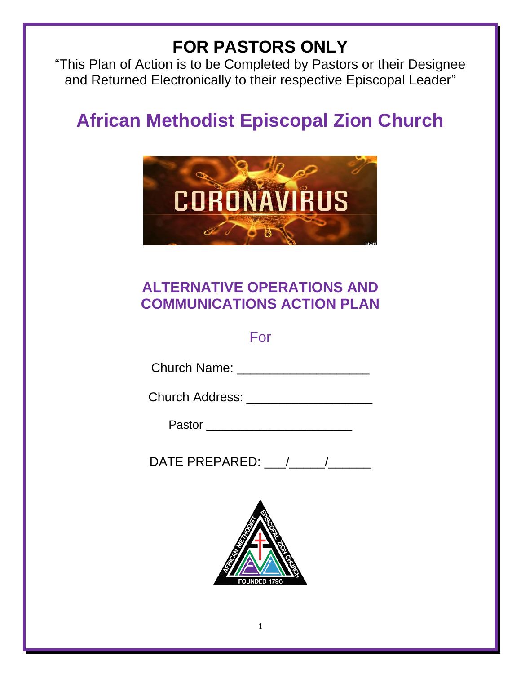# **FOR PASTORS ONLY**

"This Plan of Action is to be Completed by Pastors or their Designee and Returned Electronically to their respective Episcopal Leader"

# **African Methodist Episcopal Zion Church**



## **ALTERNATIVE OPERATIONS AND COMMUNICATIONS ACTION PLAN**

### For

| <b>Church Name:</b> |  |
|---------------------|--|
|---------------------|--|

Church Address: \_\_\_\_\_\_\_\_\_\_\_\_\_\_\_\_\_\_\_

Pastor **and a** property of the set of the set of the set of the set of the set of the set of the set of the set of the set of the set of the set of the set of the set of the set of the set of the set of the set of the set

DATE PREPARED:  $\qquad /$ 

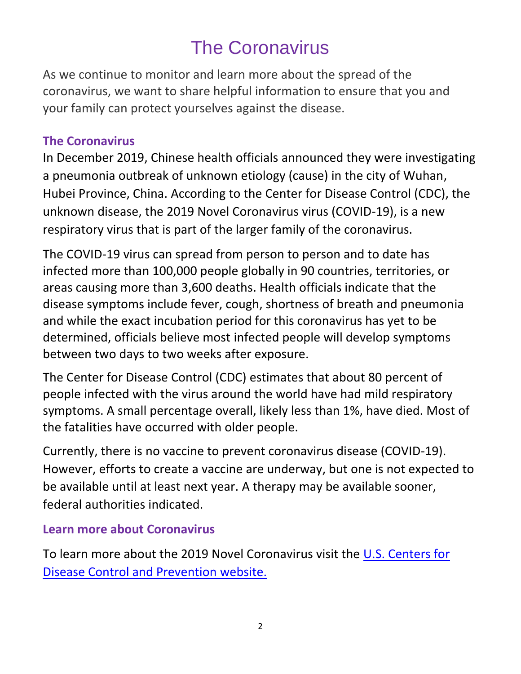# The Coronavirus

As we continue to monitor and learn more about the spread of the coronavirus, we want to share helpful information to ensure that you and your family can protect yourselves against the disease.

### **The Coronavirus**

In December 2019, Chinese health officials announced they were investigating a pneumonia outbreak of unknown etiology (cause) in the city of Wuhan, Hubei Province, China. According to the Center for Disease Control (CDC), the unknown disease, the 2019 Novel Coronavirus virus (COVID-19), is a new respiratory virus that is part of the larger family of the coronavirus.

The COVID-19 virus can spread from person to person and to date [has](https://www.baltimoresun.com/news/nation-world/ct-nw-coronavirus-outbreak-world-20200302-pcpziawuknfshapeohdowzfiqi-story.html)  [infected more than 100,000 people globally in 90 countries, territories, or](https://www.baltimoresun.com/news/nation-world/ct-nw-coronavirus-outbreak-world-20200302-pcpziawuknfshapeohdowzfiqi-story.html)  [areas causing more than 3,600 deaths.](https://www.baltimoresun.com/news/nation-world/ct-nw-coronavirus-outbreak-world-20200302-pcpziawuknfshapeohdowzfiqi-story.html) Health officials indicate that the disease symptoms include fever, cough, shortness of breath and pneumonia and while the exact incubation period for this coronavirus has yet to be determined, officials believe most infected people will develop symptoms between two days to two weeks after exposure.

The Center for Disease Control (CDC) estimates that about 80 percent of people infected with the virus around the world have had mild respiratory symptoms. A small percentage overall, likely less than 1%, have died. Most of the fatalities have occurred with older people.

Currently, there is no vaccine to prevent coronavirus disease (COVID-19). However, efforts to create a vaccine are underway, but one is not expected to be available until at least next year. A therapy may be available sooner, federal authorities indicated.

### **Learn more about Coronavirus**

To learn more about the 2019 Novel Coronavirus visit the [U.S. Centers for](https://www.cdc.gov/coronavirus/2019-ncov/index.html)  [Disease Control and Prevention](https://www.cdc.gov/coronavirus/2019-ncov/index.html) website.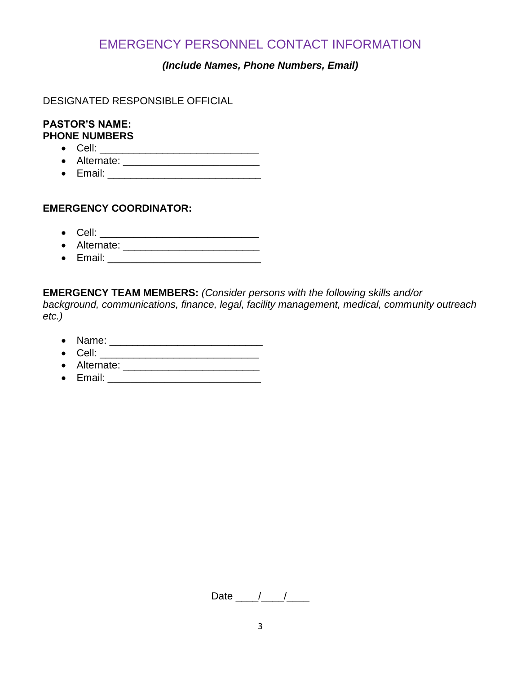### EMERGENCY PERSONNEL CONTACT INFORMATION

#### *(Include Names, Phone Numbers, Email)*

DESIGNATED RESPONSIBLE OFFICIAL

#### **PASTOR'S NAME: PHONE NUMBERS**

- Cell: \_\_\_\_\_\_\_\_\_\_\_\_\_\_\_\_\_\_\_\_\_\_\_\_\_\_\_\_
- Alternate: \_\_\_\_\_\_\_\_\_\_\_\_\_\_\_\_\_\_\_\_\_\_\_\_
- Email: \_\_\_\_\_\_\_\_\_\_\_\_\_\_\_\_\_\_\_\_\_\_\_\_\_\_\_

#### **EMERGENCY COORDINATOR:**

- Cell: \_\_\_\_\_\_\_\_\_\_\_\_\_\_\_\_\_\_\_\_\_\_\_\_\_\_\_\_
- Alternate: \_\_\_\_\_\_\_\_\_\_\_\_\_\_\_\_\_\_\_\_\_\_\_\_
- Email: \_\_\_\_\_\_\_\_\_\_\_\_\_\_\_\_\_\_\_\_\_\_\_\_\_\_\_

**EMERGENCY TEAM MEMBERS:** *(Consider persons with the following skills and/or* 

*background, communications, finance, legal, facility management, medical, community outreach etc.)* 

- Name: \_\_\_\_\_\_\_\_\_\_\_\_\_\_\_\_\_\_\_\_\_\_\_\_\_\_\_
- Cell: \_\_\_\_\_\_\_\_\_\_\_\_\_\_\_\_\_\_\_\_\_\_\_\_\_\_\_\_
- Alternate:
- Email: \_\_\_\_\_\_\_\_\_\_\_\_\_\_\_\_\_\_\_\_\_\_\_\_\_\_\_

Date  $\frac{1}{\sqrt{1-\frac{1}{2}}}$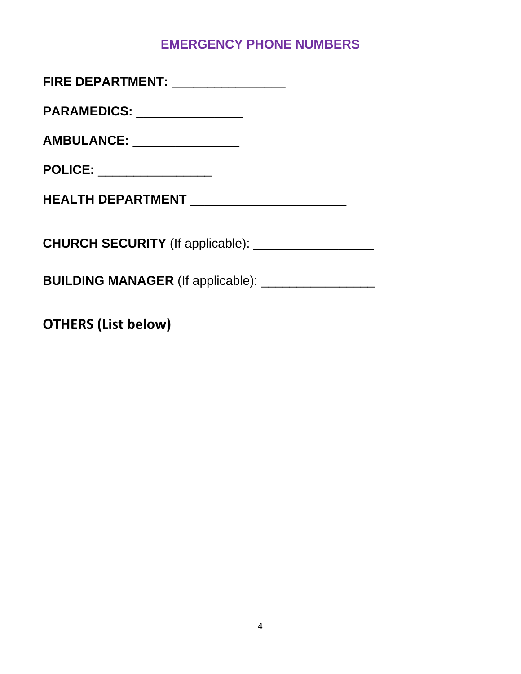### **EMERGENCY PHONE NUMBERS**

| FIRE DEPARTMENT: _________________           |
|----------------------------------------------|
| PARAMEDICS: _______________                  |
| AMBULANCE: ________________                  |
| POLICE: ________________                     |
| HEALTH DEPARTMENT __________________________ |
|                                              |
|                                              |
|                                              |

**OTHERS (List below)**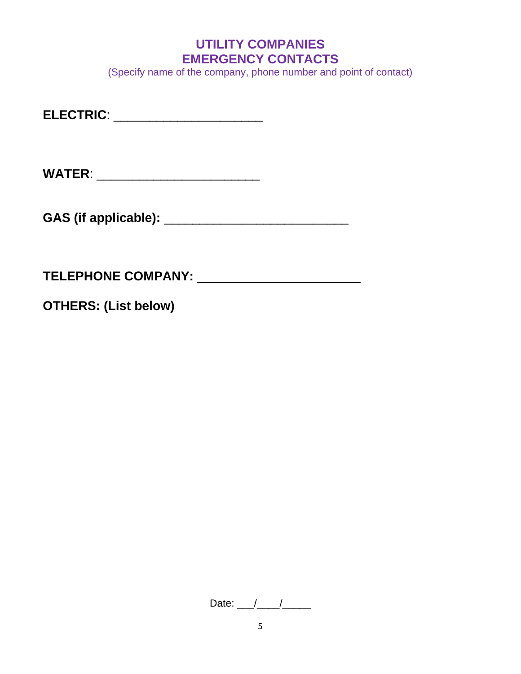### **UTILITY COMPANIES EMERGENCY CONTACTS**

(Specify name of the company, phone number and point of contact)

**ELECTRIC**: \_\_\_\_\_\_\_\_\_\_\_\_\_\_\_\_\_\_\_\_\_

**WATER**: \_\_\_\_\_\_\_\_\_\_\_\_\_\_\_\_\_\_\_\_\_\_\_

**GAS (if applicable):** \_\_\_\_\_\_\_\_\_\_\_\_\_\_\_\_\_\_\_\_\_\_\_\_\_\_

**TELEPHONE COMPANY:** \_\_\_\_\_\_\_\_\_\_\_\_\_\_\_\_\_\_\_\_\_\_\_

**OTHERS: (List below)** 

Date:  $\frac{1}{2}$  /  $\frac{1}{2}$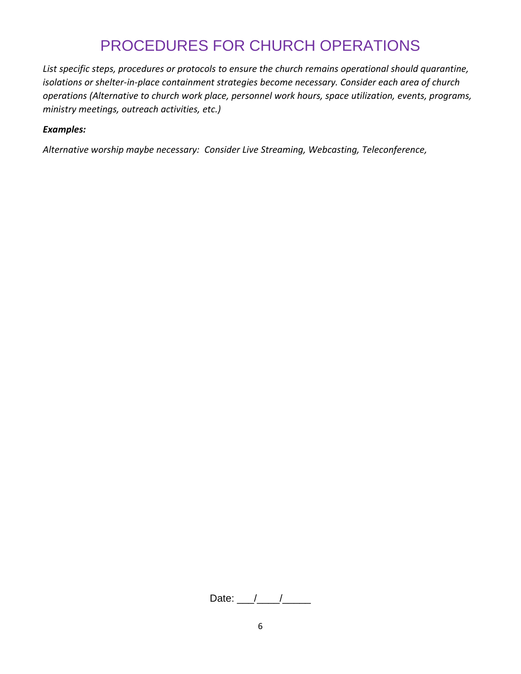## PROCEDURES FOR CHURCH OPERATIONS

*List specific steps, procedures or protocols to ensure the church remains operational should quarantine, isolations or shelter-in-place containment strategies become necessary. Consider each area of church operations (Alternative to church work place, personnel work hours, space utilization, events, programs, ministry meetings, outreach activities, etc.)* 

#### *Examples:*

*Alternative worship maybe necessary: Consider Live Streaming, Webcasting, Teleconference,* 

Date:  $\frac{1}{\sqrt{1-\frac{1}{2}}}$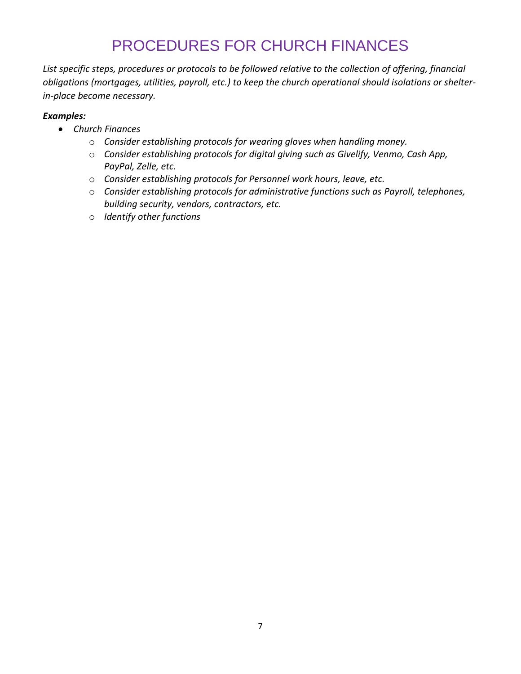# PROCEDURES FOR CHURCH FINANCES

*List specific steps, procedures or protocols to be followed relative to the collection of offering, financial obligations (mortgages, utilities, payroll, etc.) to keep the church operational should isolations or shelterin-place become necessary.* 

#### *Examples:*

- *Church Finances*
	- o *Consider establishing protocols for wearing gloves when handling money.*
	- o *Consider establishing protocols for digital giving such as Givelify, Venmo, Cash App, PayPal, Zelle, etc.*
	- o *Consider establishing protocols for Personnel work hours, leave, etc.*
	- o *Consider establishing protocols for administrative functions such as Payroll, telephones, building security, vendors, contractors, etc.*
	- o *Identify other functions*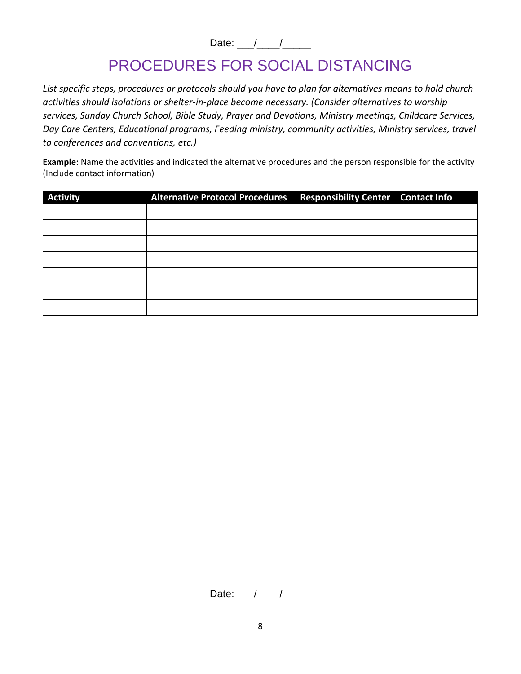Date:  $\frac{1}{2}$ 

# PROCEDURES FOR SOCIAL DISTANCING

*List specific steps, procedures or protocols should you have to plan for alternatives means to hold church activities should isolations or shelter-in-place become necessary. (Consider alternatives to worship services, Sunday Church School, Bible Study, Prayer and Devotions, Ministry meetings, Childcare Services, Day Care Centers, Educational programs, Feeding ministry, community activities, Ministry services, travel to conferences and conventions, etc.)* 

**Example:** Name the activities and indicated the alternative procedures and the person responsible for the activity (Include contact information)

| <b>Activity</b> | Alternative Protocol Procedures Responsibility Center Contact Info |  |
|-----------------|--------------------------------------------------------------------|--|
|                 |                                                                    |  |
|                 |                                                                    |  |
|                 |                                                                    |  |
|                 |                                                                    |  |
|                 |                                                                    |  |
|                 |                                                                    |  |
|                 |                                                                    |  |

Date:  $\frac{1}{\sqrt{2\pi}}$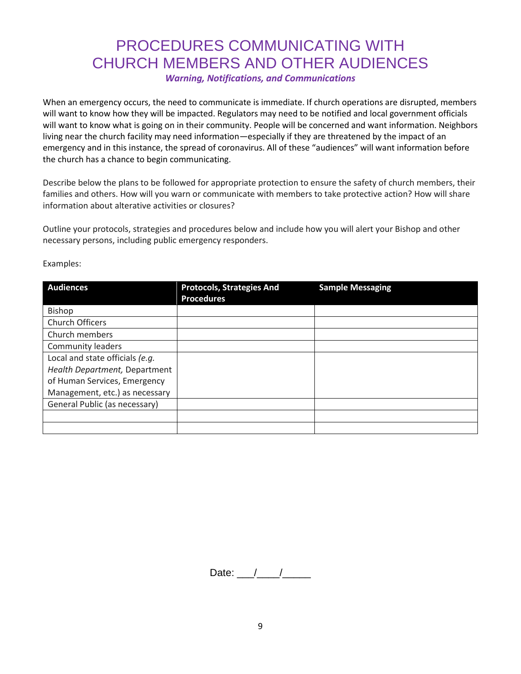# PROCEDURES COMMUNICATING WITH CHURCH MEMBERS AND OTHER AUDIENCES

*Warning, Notifications, and Communications*

When an emergency occurs, the need to communicate is immediate. If church operations are disrupted, members will want to know how they will be impacted. Regulators may need to be notified and local government officials will want to know what is going on in their community. People will be concerned and want information. Neighbors living near the church facility may need information—especially if they are threatened by the impact of an emergency and in this instance, the spread of coronavirus. All of these "audiences" will want information before the church has a chance to begin communicating.

Describe below the plans to be followed for appropriate protection to ensure the safety of church members, their families and others. How will you warn or communicate with members to take protective action? How will share information about alterative activities or closures?

Outline your protocols, strategies and procedures below and include how you will alert your Bishop and other necessary persons, including public emergency responders.

| <b>Audiences</b>                | <b>Protocols, Strategies And</b><br><b>Procedures</b> | <b>Sample Messaging</b> |
|---------------------------------|-------------------------------------------------------|-------------------------|
| Bishop                          |                                                       |                         |
| Church Officers                 |                                                       |                         |
| Church members                  |                                                       |                         |
| <b>Community leaders</b>        |                                                       |                         |
| Local and state officials (e.g. |                                                       |                         |
| Health Department, Department   |                                                       |                         |
| of Human Services, Emergency    |                                                       |                         |
| Management, etc.) as necessary  |                                                       |                         |
| General Public (as necessary)   |                                                       |                         |
|                                 |                                                       |                         |
|                                 |                                                       |                         |

Examples:

Date:  $/$  /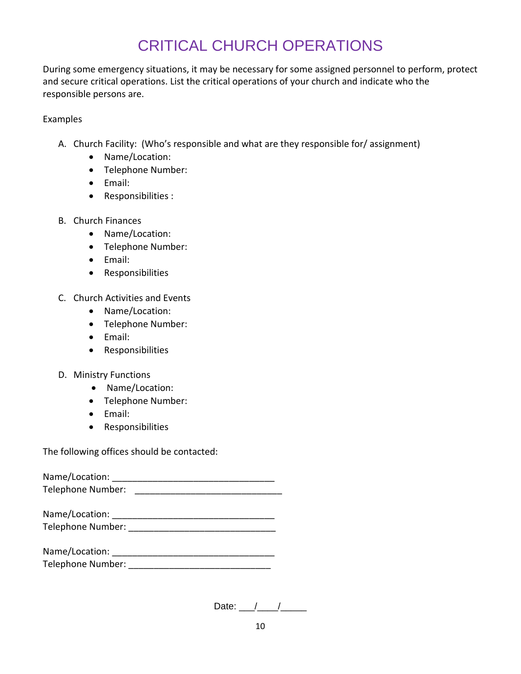# CRITICAL CHURCH OPERATIONS

During some emergency situations, it may be necessary for some assigned personnel to perform, protect and secure critical operations. List the critical operations of your church and indicate who the responsible persons are.

Examples

- A. Church Facility: (Who's responsible and what are they responsible for/ assignment)
	- Name/Location:
	- Telephone Number:
	- Email:
	- Responsibilities :
- B. Church Finances
	- Name/Location:
	- Telephone Number:
	- Email:
	- Responsibilities
- C. Church Activities and Events
	- Name/Location:
	- Telephone Number:
	- Email:
	- Responsibilities
- D. Ministry Functions
	- Name/Location:
	- Telephone Number:
	- Email:
	- Responsibilities

The following offices should be contacted:

Name/Location: \_\_\_\_\_\_\_\_\_\_\_\_\_\_\_\_\_\_\_\_\_\_\_\_\_\_\_\_\_\_\_\_ Telephone Number: \_\_\_\_\_\_\_\_\_\_\_\_\_\_\_\_\_\_\_\_\_\_\_\_\_\_\_\_\_

| Name/Location:    |  |
|-------------------|--|
| Telephone Number: |  |

| Name/Location:    |  |
|-------------------|--|
| Telephone Number: |  |

| Date: |  |  |  |
|-------|--|--|--|
|-------|--|--|--|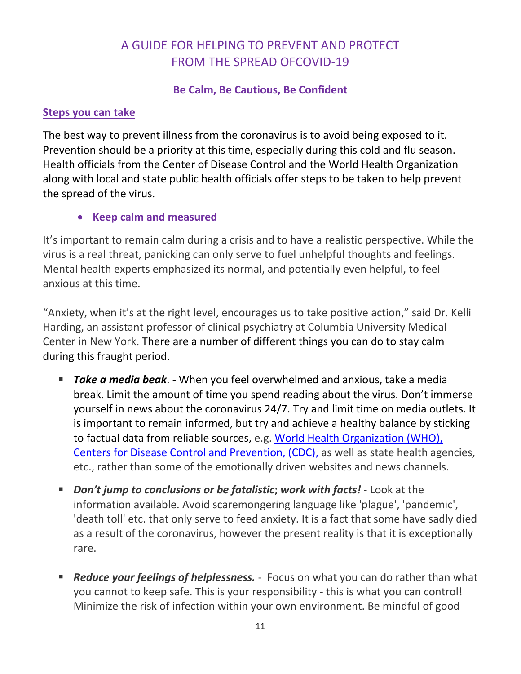### A GUIDE FOR HELPING TO PREVENT AND PROTECT FROM THE SPREAD OFCOVID-19

### **Be Calm, Be Cautious, Be Confident**

### **Steps you can take**

The best way to prevent illness from the coronavirus is to avoid being exposed to it. Prevention should be a priority at this time, especially during this cold and flu season. Health officials from the Center of Disease Control and the World Health Organization along with local and state public health officials offer steps to be taken to help prevent the spread of the virus.

• **Keep calm and measured**

It's important to remain calm during a crisis and to have a realistic perspective. While the virus is a real threat, panicking can only serve to fuel unhelpful thoughts and feelings. Mental health experts emphasized its normal, and potentially even helpful, to feel anxious at this time.

"Anxiety, when it's at the right level, encourages us to take positive action," said Dr. Kelli Harding, an assistant professor of clinical psychiatry at Columbia University Medical Center in New York. There are a number of different things you can do to stay calm during this fraught period.

- **Take a media beak**. When you feel overwhelmed and anxious, take a media break. Limit the amount of time you spend reading about the virus. Don't immerse yourself in news about the coronavirus 24/7. Try and limit time on media outlets. It is important to remain informed, but try and achieve a healthy balance by sticking to factual data from reliable sources, e.g. [World Health Organization \(WHO\),](https://www.who.int/health-topics/coronavirus) [Centers for Disease Control and Prevention, \(CDC\),](https://www.cdc.gov/coronavirus/2019-ncov/index.html) as well as state health agencies, etc., rather than some of the emotionally driven websites and news channels.
- *Don't jump to conclusions or be fatalistic*; work with facts! Look at the information available. Avoid scaremongering language like 'plague', 'pandemic', 'death toll' etc. that only serve to feed anxiety. It is a fact that some have sadly died as a result of the coronavirus, however the present reality is that it is exceptionally rare.
- **EXEDENCE FIGHTS IS A FIGHTS FIGHTS FIGHTS IS A FIGHTS FIGHTS FIGHTS FIGHTS FIGHTS FIGHTS FIGHTS FIGHTS FIGHTS** you cannot to keep safe. This is your responsibility - this is what you can control! Minimize the risk of infection within your own environment. Be mindful of good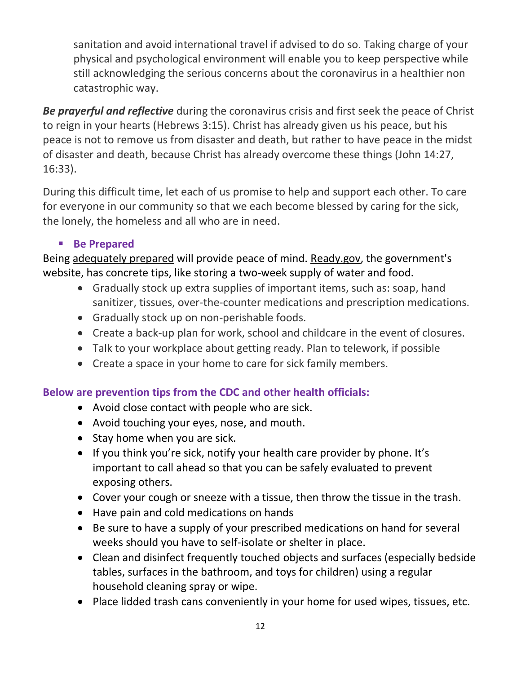sanitation and avoid international travel if advised to do so. Taking charge of your physical and psychological environment will enable you to keep perspective while still acknowledging the serious concerns about the coronavirus in a healthier non catastrophic way.

*Be prayerful and reflective* during the coronavirus crisis and first seek the peace of Christ to reign in your hearts (Hebrews 3:15). Christ has already given us his peace, but his peace is not to remove us from disaster and death, but rather to have peace in the midst of disaster and death, because Christ has already overcome these things (John 14:27, 16:33).

During this difficult time, let each of us promise to help and support each other. To care for everyone in our community so that we each become blessed by caring for the sick, the lonely, the homeless and all who are in need.

### ▪ **Be Prepared**

Being [adequately prepared](https://www.cdc.gov/coronavirus/2019-ncov/index.html) will provide peace of mind. [Ready.gov,](https://www.ready.gov/pandemic) the government's website, has concrete tips, like storing a two-week supply of water and food.

- Gradually stock up extra supplies of important items, such as: soap, hand sanitizer, tissues, over-the-counter medications and prescription medications.
- Gradually stock up on non-perishable foods.
- Create a back-up plan for work, school and childcare in the event of closures.
- Talk to your workplace about getting ready. Plan to telework, if possible
- Create a space in your home to care for sick family members.

### **Below are prevention tips from the CDC and other health officials:**

- Avoid close contact with people who are sick.
- Avoid touching your eyes, nose, and mouth.
- Stay home when you are sick.
- If you think you're sick, notify your health care provider by phone. It's important to call ahead so that you can be safely evaluated to prevent exposing others.
- Cover your cough or sneeze with a tissue, then throw the tissue in the trash.
- Have pain and cold medications on hands
- Be sure to have a supply of your prescribed medications on hand for several weeks should you have to self-isolate or shelter in place.
- Clean and disinfect frequently touched objects and surfaces (especially bedside tables, surfaces in the bathroom, and toys for children) using a regular household cleaning spray or wipe.
- Place lidded trash cans conveniently in your home for used wipes, tissues, etc.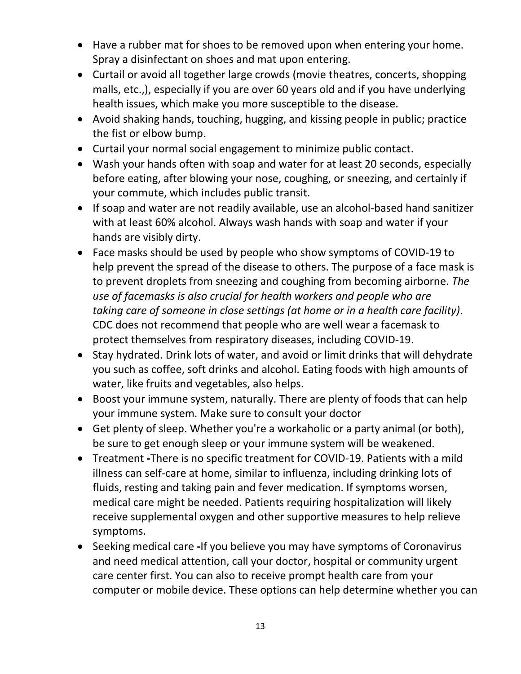- Have a rubber mat for shoes to be removed upon when entering your home. Spray a disinfectant on shoes and mat upon entering.
- Curtail or avoid all together large crowds (movie theatres, concerts, shopping malls, etc.,), especially if you are over 60 years old and if you have underlying health issues, which make you more susceptible to the disease.
- Avoid shaking hands, touching, hugging, and kissing people in public; practice the fist or elbow bump.
- Curtail your normal social engagement to minimize public contact.
- Wash your hands often with soap and water for at least 20 seconds, especially before eating, after blowing your nose, coughing, or sneezing, and certainly if your commute, which includes public transit.
- If soap and water are not readily available, use an alcohol-based hand sanitizer with at least 60% alcohol. Always wash hands with soap and water if your hands are visibly dirty.
- Face masks should be used by people who show symptoms of COVID-19 to help prevent the spread of the disease to others. The purpose of a face mask is to prevent droplets from sneezing and coughing from becoming airborne. *The use of facemasks is also crucial for health workers and people who are taking care of someone in close settings (at home or in a health care facility)*. CDC does not recommend that people who are well wear a facemask to protect themselves from respiratory diseases, including COVID-19.
- Stay hydrated. Drink lots of water, and avoid or limit drinks that will dehydrate you such as coffee, soft drinks and alcohol. Eating foods with high amounts of water, like fruits and vegetables, also helps.
- Boost your immune system, naturally. There are plenty of foods that can help your immune system. Make sure to consult your doctor
- Get plenty of sleep. Whether you're a workaholic or a party animal (or both), be sure to get enough sleep or your immune system will be weakened.
- Treatment **-**There is no specific treatment for COVID-19. Patients with a mild illness can self-care at home, similar to influenza, including drinking lots of fluids, resting and taking pain and fever medication. If symptoms worsen, medical care might be needed. Patients requiring hospitalization will likely receive supplemental oxygen and other supportive measures to help relieve symptoms.
- Seeking medical care **-**If you believe you may have symptoms of Coronavirus and need medical attention, call your doctor, hospital or community urgent care center first. You can also to receive prompt health care from your computer or mobile device. These options can help determine whether you can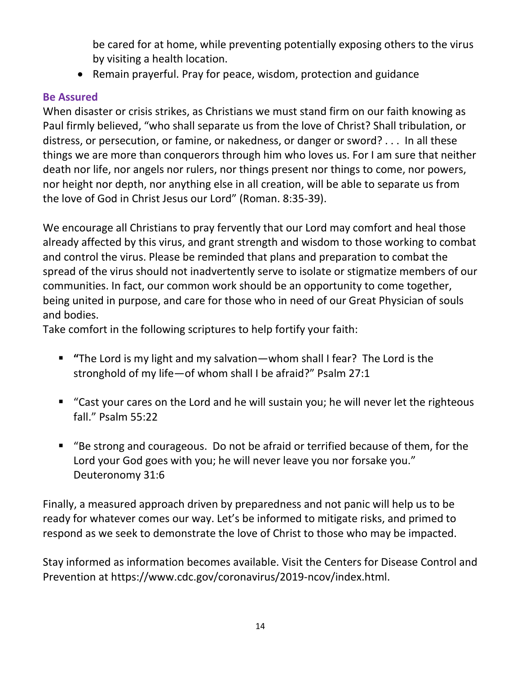be cared for at home, while preventing potentially exposing others to the virus by visiting a health location.

• Remain prayerful. Pray for peace, wisdom, protection and guidance

### **Be Assured**

When disaster or crisis strikes, as Christians we must stand firm on our faith knowing as Paul firmly believed, "who shall separate us from the love of Christ? Shall tribulation, or distress, or persecution, or famine, or nakedness, or danger or sword? . . . In all these things we are more than conquerors through him who loves us. For I am sure that neither death nor life, nor angels nor rulers, nor things present nor things to come, nor powers, nor height nor depth, nor anything else in all creation, will be able to separate us from the love of God in Christ Jesus our Lord" (Roman. 8:35-39).

We encourage all Christians to pray fervently that our Lord may comfort and heal those already affected by this virus, and grant strength and wisdom to those working to combat and control the virus. Please be reminded that plans and preparation to combat the spread of the virus should not inadvertently serve to isolate or stigmatize members of our communities. In fact, our common work should be an opportunity to come together, being united in purpose, and care for those who in need of our Great Physician of souls and bodies.

Take comfort in the following scriptures to help fortify your faith:

- **"**The Lord is my light and my salvation—whom shall I fear? The Lord is the stronghold of my life—of whom shall I be afraid?" Psalm 27:1
- "Cast your cares on the Lord and he will sustain you; he will never let the righteous fall." Psalm 55:22
- "Be strong and courageous. Do not be afraid or terrified because of them, for the Lord your God goes with you; he will never leave you nor forsake you." Deuteronomy 31:6

Finally, a measured approach driven by preparedness and not panic will help us to be ready for whatever comes our way. Let's be informed to mitigate risks, and primed to respond as we seek to demonstrate the love of Christ to those who may be impacted.

Stay informed as information becomes available. Visit the Centers for Disease Control and Prevention at https://www.cdc.gov/coronavirus/2019-ncov/index.html.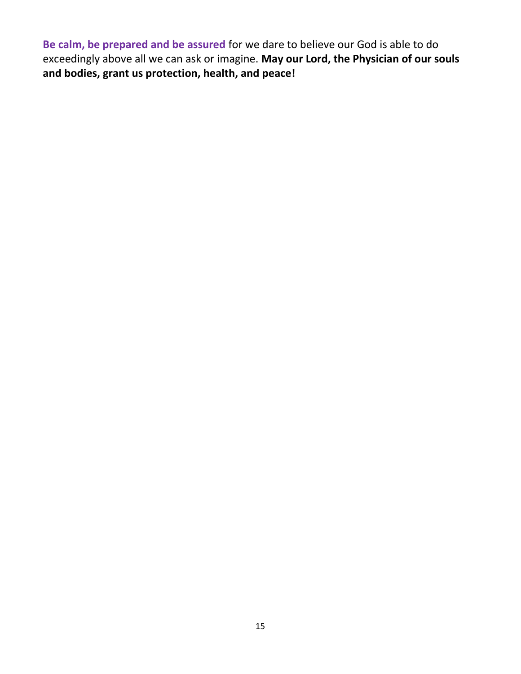**Be calm, be prepared and be assured** for we dare to believe our God is able to do exceedingly above all we can ask or imagine. **May our Lord, the Physician of our souls and bodies, grant us protection, health, and peace!**